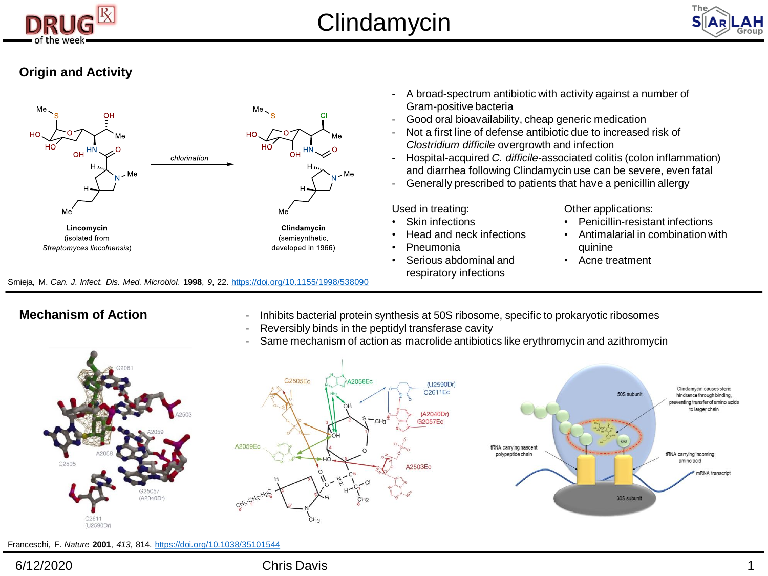



## **Origin and Activity**



Smieja, M. *Can. J. Infect. Dis. Med. Microbiol.* **1998**, *9*, 22. <https://doi.org/10.1155/1998/538090>

- A broad-spectrum antibiotic with activity against a number of Gram-positive bacteria
- Good oral bioavailability, cheap generic medication
- Not a first line of defense antibiotic due to increased risk of *Clostridium difficile* overgrowth and infection
- Hospital-acquired *C. difficile-*associated colitis (colon inflammation) and diarrhea following Clindamycin use can be severe, even fatal
- Generally prescribed to patients that have a penicillin allergy

Used in treating:

- **Skin infections**
- Head and neck infections
- Pneumonia
- Serious abdominal and respiratory infections

Other applications:

- Penicillin-resistant infections
- Antimalarial in combination with quinine
- Acne treatment

- **Mechanism of Action** Inhibits bacterial protein synthesis at 50S ribosome, specific to prokaryotic ribosomes
	- Reversibly binds in the peptidyl transferase cavity
	- Same mechanism of action as macrolide antibiotics like erythromycin and azithromycin







Franceschi, F. *Nature* **2001**, *413*, 814. <https://doi.org/10.1038/35101544>

### 6/12/2020 Chris Davis 1